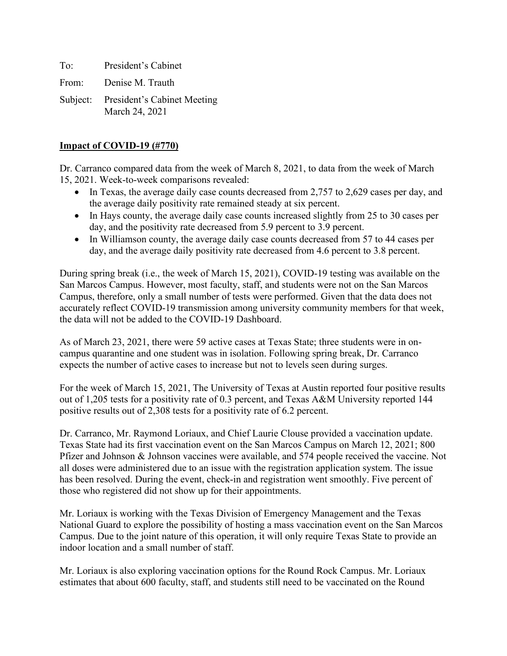To: President's Cabinet

From: Denise M. Trauth

Subject: President's Cabinet Meeting March 24, 2021

## **Impact of COVID-19 (#770)**

Dr. Carranco compared data from the week of March 8, 2021, to data from the week of March 15, 2021. Week-to-week comparisons revealed:

- In Texas, the average daily case counts decreased from 2,757 to 2,629 cases per day, and the average daily positivity rate remained steady at six percent.
- In Hays county, the average daily case counts increased slightly from 25 to 30 cases per day, and the positivity rate decreased from 5.9 percent to 3.9 percent.
- In Williamson county, the average daily case counts decreased from 57 to 44 cases per day, and the average daily positivity rate decreased from 4.6 percent to 3.8 percent.

During spring break (i.e., the week of March 15, 2021), COVID-19 testing was available on the San Marcos Campus. However, most faculty, staff, and students were not on the San Marcos Campus, therefore, only a small number of tests were performed. Given that the data does not accurately reflect COVID-19 transmission among university community members for that week, the data will not be added to the COVID-19 Dashboard.

As of March 23, 2021, there were 59 active cases at Texas State; three students were in oncampus quarantine and one student was in isolation. Following spring break, Dr. Carranco expects the number of active cases to increase but not to levels seen during surges.

For the week of March 15, 2021, The University of Texas at Austin reported four positive results out of 1,205 tests for a positivity rate of 0.3 percent, and Texas A&M University reported 144 positive results out of 2,308 tests for a positivity rate of 6.2 percent.

Dr. Carranco, Mr. Raymond Loriaux, and Chief Laurie Clouse provided a vaccination update. Texas State had its first vaccination event on the San Marcos Campus on March 12, 2021; 800 Pfizer and Johnson & Johnson vaccines were available, and 574 people received the vaccine. Not all doses were administered due to an issue with the registration application system. The issue has been resolved. During the event, check-in and registration went smoothly. Five percent of those who registered did not show up for their appointments.

Mr. Loriaux is working with the Texas Division of Emergency Management and the Texas National Guard to explore the possibility of hosting a mass vaccination event on the San Marcos Campus. Due to the joint nature of this operation, it will only require Texas State to provide an indoor location and a small number of staff.

Mr. Loriaux is also exploring vaccination options for the Round Rock Campus. Mr. Loriaux estimates that about 600 faculty, staff, and students still need to be vaccinated on the Round